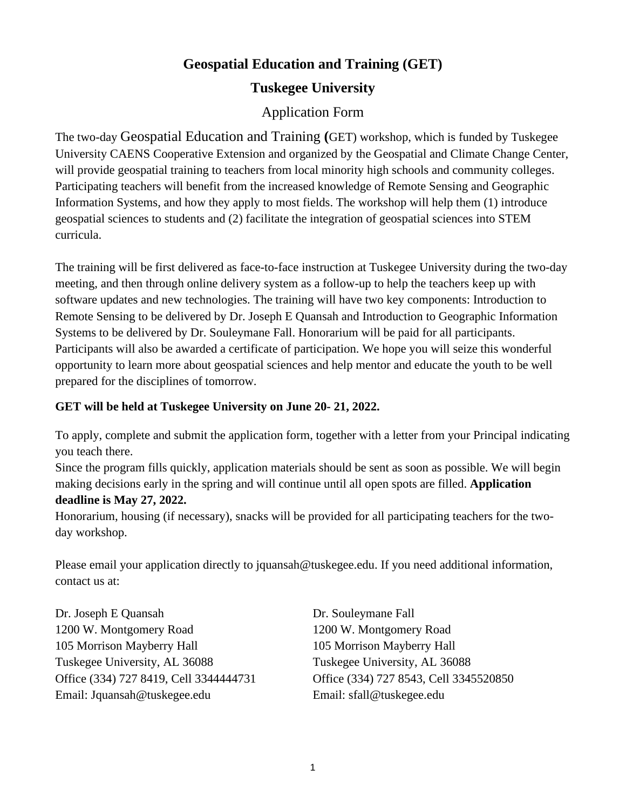# **Geospatial Education and Training (GET)**

## **Tuskegee University**

## Application Form

The two-day Geospatial Education and Training **(**GET) workshop, which is funded by Tuskegee University CAENS Cooperative Extension and organized by the Geospatial and Climate Change Center, will provide geospatial training to teachers from local minority high schools and community colleges. Participating teachers will benefit from the increased knowledge of Remote Sensing and Geographic Information Systems, and how they apply to most fields. The workshop will help them (1) introduce geospatial sciences to students and (2) facilitate the integration of geospatial sciences into STEM curricula.

The training will be first delivered as face-to-face instruction at Tuskegee University during the two-day meeting, and then through online delivery system as a follow-up to help the teachers keep up with software updates and new technologies. The training will have two key components: Introduction to Remote Sensing to be delivered by Dr. Joseph E Quansah and Introduction to Geographic Information Systems to be delivered by Dr. Souleymane Fall. Honorarium will be paid for all participants. Participants will also be awarded a certificate of participation. We hope you will seize this wonderful opportunity to learn more about geospatial sciences and help mentor and educate the youth to be well prepared for the disciplines of tomorrow.

### **GET will be held at Tuskegee University on June 20- 21, 2022.**

To apply, complete and submit the application form, together with a [letter from your Principal indicating](http://www.purdue.edu/GRADSCHOOL/documents/purdue-srop-recommendation-form.pdf)  [you teach there.](http://www.purdue.edu/GRADSCHOOL/documents/purdue-srop-recommendation-form.pdf)

Since the program fills quickly, application materials should be sent as soon as possible. We will begin making decisions early in the spring and will continue until all open spots are filled. **Application** 

#### **deadline is May 27, 2022.**

Honorarium, housing (if necessary), snacks will be provided for all participating teachers for the twoday workshop.

Please email your [application](http://www.purdue.edu/GRADSCHOOL/diversity/srop/form.html) directly to jquansah@tuskegee.edu. If you need additional information, contact us at:

Dr. Joseph E Quansah Dr. Souleymane Fall 1200 W. Montgomery Road 1200 W. Montgomery Road 105 Morrison Mayberry Hall 105 Morrison Mayberry Hall Tuskegee University, AL 36088 Tuskegee University, AL 36088 Office (334) 727 8419, Cell 3344444731 Office (334) 727 8543, Cell 3345520850 Email: Jquansah[@tuskegee.edu](http://mytu.tuskegee.edu/) Email: sfall[@tuskegee.edu](http://mytu.tuskegee.edu/)